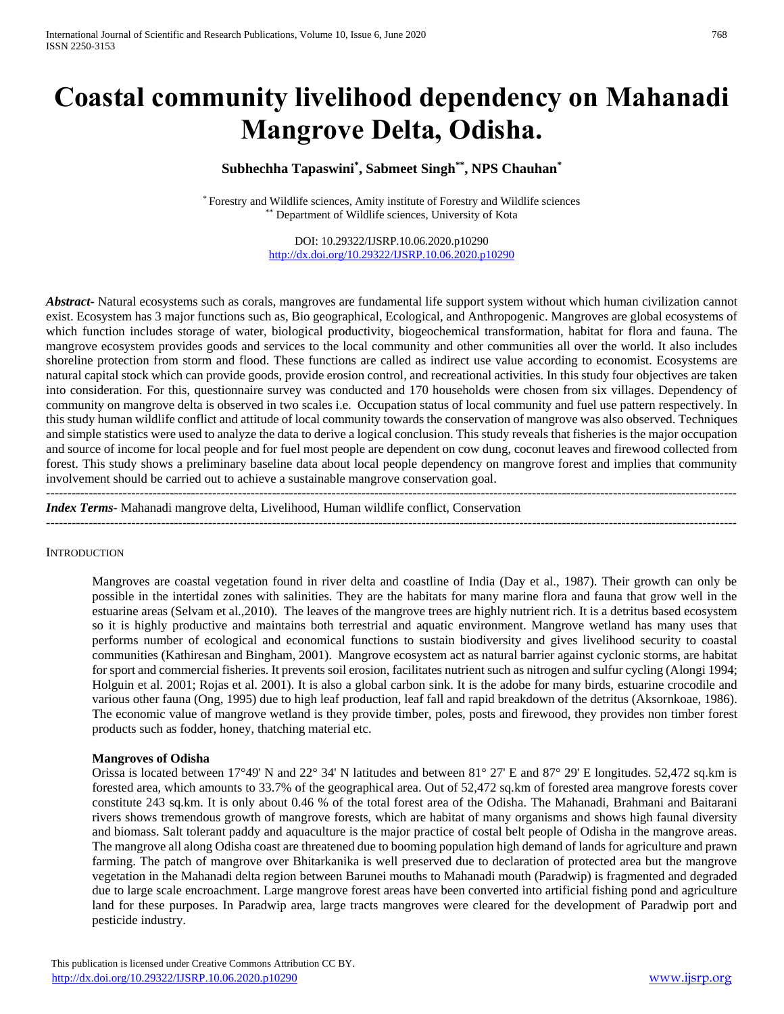# **Coastal community livelihood dependency on Mahanadi Mangrove Delta, Odisha.**

# **Subhechha Tapaswini\* , Sabmeet Singh\*\*, NPS Chauhan\***

\* Forestry and Wildlife sciences, Amity institute of Forestry and Wildlife sciences \*\* Department of Wildlife sciences, University of Kota

> DOI: 10.29322/IJSRP.10.06.2020.p10290 <http://dx.doi.org/10.29322/IJSRP.10.06.2020.p10290>

*Abstract***-** Natural ecosystems such as corals, mangroves are fundamental life support system without which human civilization cannot exist. Ecosystem has 3 major functions such as, Bio geographical, Ecological, and Anthropogenic. Mangroves are global ecosystems of which function includes storage of water, biological productivity, biogeochemical transformation, habitat for flora and fauna. The mangrove ecosystem provides goods and services to the local community and other communities all over the world. It also includes shoreline protection from storm and flood. These functions are called as indirect use value according to economist. Ecosystems are natural capital stock which can provide goods, provide erosion control, and recreational activities. In this study four objectives are taken into consideration. For this, questionnaire survey was conducted and 170 households were chosen from six villages. Dependency of community on mangrove delta is observed in two scales i.e. Occupation status of local community and fuel use pattern respectively. In this study human wildlife conflict and attitude of local community towards the conservation of mangrove was also observed. Techniques and simple statistics were used to analyze the data to derive a logical conclusion. This study reveals that fisheries is the major occupation and source of income for local people and for fuel most people are dependent on cow dung, coconut leaves and firewood collected from forest. This study shows a preliminary baseline data about local people dependency on mangrove forest and implies that community involvement should be carried out to achieve a sustainable mangrove conservation goal.

------------------------------------------------------------------------------------------------------------------------------------------------------------------ *Index Terms*- Mahanadi mangrove delta, Livelihood, Human wildlife conflict, Conservation

------------------------------------------------------------------------------------------------------------------------------------------------------------------

#### **INTRODUCTION**

Mangroves are coastal vegetation found in river delta and coastline of India (Day et al., 1987). Their growth can only be possible in the intertidal zones with salinities. They are the habitats for many marine flora and fauna that grow well in the estuarine areas (Selvam et al.,2010). The leaves of the mangrove trees are highly nutrient rich. It is a detritus based ecosystem so it is highly productive and maintains both terrestrial and aquatic environment. Mangrove wetland has many uses that performs number of ecological and economical functions to sustain biodiversity and gives livelihood security to coastal communities (Kathiresan and Bingham, 2001). Mangrove ecosystem act as natural barrier against cyclonic storms, are habitat for sport and commercial fisheries. It prevents soil erosion, facilitates nutrient such as nitrogen and sulfur cycling (Alongi 1994; Holguin et al. 2001; Rojas et al. 2001). It is also a global carbon sink. It is the adobe for many birds, estuarine crocodile and various other fauna (Ong, 1995) due to high leaf production, leaf fall and rapid breakdown of the detritus (Aksornkoae, 1986). The economic value of mangrove wetland is they provide timber, poles, posts and firewood, they provides non timber forest products such as fodder, honey, thatching material etc.

#### **Mangroves of Odisha**

Orissa is located between  $17^{\circ}49'$  N and  $22^{\circ}$  34' N latitudes and between  $81^{\circ}$  27' E and  $87^{\circ}$  29' E longitudes. 52,472 sq.km is forested area, which amounts to 33.7% of the geographical area. Out of 52,472 sq.km of forested area mangrove forests cover constitute 243 sq.km. It is only about 0.46 % of the total forest area of the Odisha. The Mahanadi, Brahmani and Baitarani rivers shows tremendous growth of mangrove forests, which are habitat of many organisms and shows high faunal diversity and biomass. Salt tolerant paddy and aquaculture is the major practice of costal belt people of Odisha in the mangrove areas. The mangrove all along Odisha coast are threatened due to booming population high demand of lands for agriculture and prawn farming. The patch of mangrove over Bhitarkanika is well preserved due to declaration of protected area but the mangrove vegetation in the Mahanadi delta region between Barunei mouths to Mahanadi mouth (Paradwip) is fragmented and degraded due to large scale encroachment. Large mangrove forest areas have been converted into artificial fishing pond and agriculture land for these purposes. In Paradwip area, large tracts mangroves were cleared for the development of Paradwip port and pesticide industry.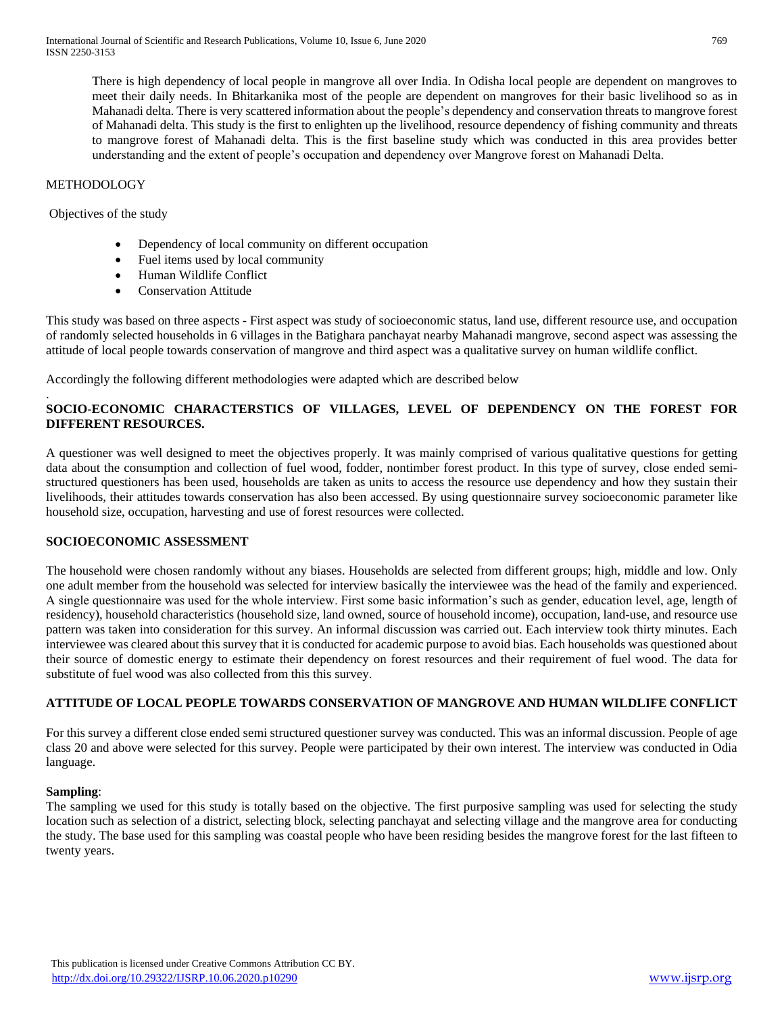There is high dependency of local people in mangrove all over India. In Odisha local people are dependent on mangroves to meet their daily needs. In Bhitarkanika most of the people are dependent on mangroves for their basic livelihood so as in Mahanadi delta. There is very scattered information about the people's dependency and conservation threats to mangrove forest of Mahanadi delta. This study is the first to enlighten up the livelihood, resource dependency of fishing community and threats to mangrove forest of Mahanadi delta. This is the first baseline study which was conducted in this area provides better understanding and the extent of people's occupation and dependency over Mangrove forest on Mahanadi Delta.

# **METHODOLOGY**

Objectives of the study

- Dependency of local community on different occupation
- Fuel items used by local community
- Human Wildlife Conflict
- Conservation Attitude

This study was based on three aspects - First aspect was study of socioeconomic status, land use, different resource use, and occupation of randomly selected households in 6 villages in the Batighara panchayat nearby Mahanadi mangrove, second aspect was assessing the attitude of local people towards conservation of mangrove and third aspect was a qualitative survey on human wildlife conflict.

Accordingly the following different methodologies were adapted which are described below

# . **SOCIO-ECONOMIC CHARACTERSTICS OF VILLAGES, LEVEL OF DEPENDENCY ON THE FOREST FOR DIFFERENT RESOURCES.**

A questioner was well designed to meet the objectives properly. It was mainly comprised of various qualitative questions for getting data about the consumption and collection of fuel wood, fodder, nontimber forest product. In this type of survey, close ended semistructured questioners has been used, households are taken as units to access the resource use dependency and how they sustain their livelihoods, their attitudes towards conservation has also been accessed. By using questionnaire survey socioeconomic parameter like household size, occupation, harvesting and use of forest resources were collected.

#### **SOCIOECONOMIC ASSESSMENT**

The household were chosen randomly without any biases. Households are selected from different groups; high, middle and low. Only one adult member from the household was selected for interview basically the interviewee was the head of the family and experienced. A single questionnaire was used for the whole interview. First some basic information's such as gender, education level, age, length of residency), household characteristics (household size, land owned, source of household income), occupation, land-use, and resource use pattern was taken into consideration for this survey. An informal discussion was carried out. Each interview took thirty minutes. Each interviewee was cleared about this survey that it is conducted for academic purpose to avoid bias. Each households was questioned about their source of domestic energy to estimate their dependency on forest resources and their requirement of fuel wood. The data for substitute of fuel wood was also collected from this this survey.

# **ATTITUDE OF LOCAL PEOPLE TOWARDS CONSERVATION OF MANGROVE AND HUMAN WILDLIFE CONFLICT**

For this survey a different close ended semi structured questioner survey was conducted. This was an informal discussion. People of age class 20 and above were selected for this survey. People were participated by their own interest. The interview was conducted in Odia language.

#### **Sampling**:

The sampling we used for this study is totally based on the objective. The first purposive sampling was used for selecting the study location such as selection of a district, selecting block, selecting panchayat and selecting village and the mangrove area for conducting the study. The base used for this sampling was coastal people who have been residing besides the mangrove forest for the last fifteen to twenty years.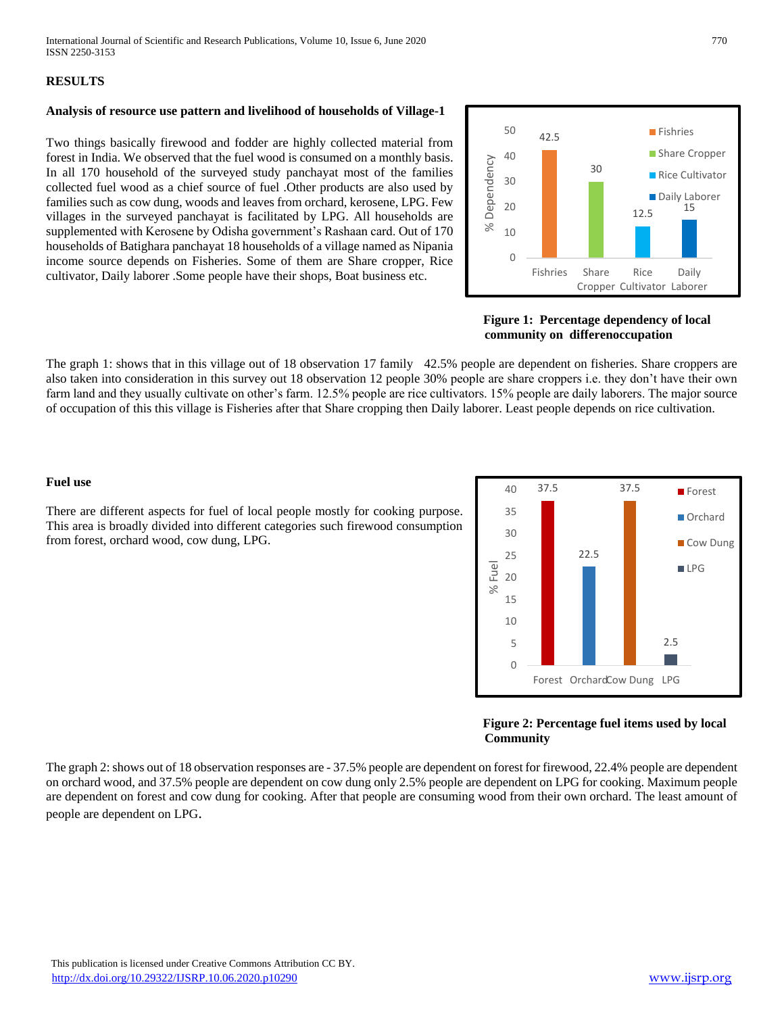### **RESULTS**

# **Analysis of resource use pattern and livelihood of households of Village-1**

Two things basically firewood and fodder are highly collected material from forest in India. We observed that the fuel wood is consumed on a monthly basis. In all 170 household of the surveyed study panchayat most of the families collected fuel wood as a chief source of fuel .Other products are also used by families such as cow dung, woods and leaves from orchard, kerosene, LPG. Few villages in the surveyed panchayat is facilitated by LPG. All households are supplemented with Kerosene by Odisha government's Rashaan card. Out of 170 households of Batighara panchayat 18 households of a village named as Nipania income source depends on Fisheries. Some of them are Share cropper, Rice cultivator, Daily laborer .Some people have their shops, Boat business etc.



 **Figure 1: Percentage dependency of local community on differenoccupation**

The graph 1: shows that in this village out of 18 observation 17 family 42.5% people are dependent on fisheries. Share croppers are also taken into consideration in this survey out 18 observation 12 people 30% people are share croppers i.e. they don't have their own farm land and they usually cultivate on other's farm. 12.5% people are rice cultivators. 15% people are daily laborers. The major source of occupation of this this village is Fisheries after that Share cropping then Daily laborer. Least people depends on rice cultivation.

#### **Fuel use**

There are different aspects for fuel of local people mostly for cooking purpose. This area is broadly divided into different categories such firewood consumption from forest, orchard wood, cow dung, LPG.

37.5 22.5 37.5 2.5 0 5 10 15 20 25 30 35 40 Forest OrchardCow Dung LPG % Fuel **Forest Orchard** Cow Dung LPG

#### **Figure 2: Percentage fuel items used by local Community**

The graph 2: shows out of 18 observation responses are - 37.5% people are dependent on forest for firewood, 22.4% people are dependent on orchard wood, and 37.5% people are dependent on cow dung only 2.5% people are dependent on LPG for cooking. Maximum people are dependent on forest and cow dung for cooking. After that people are consuming wood from their own orchard. The least amount of people are dependent on LPG.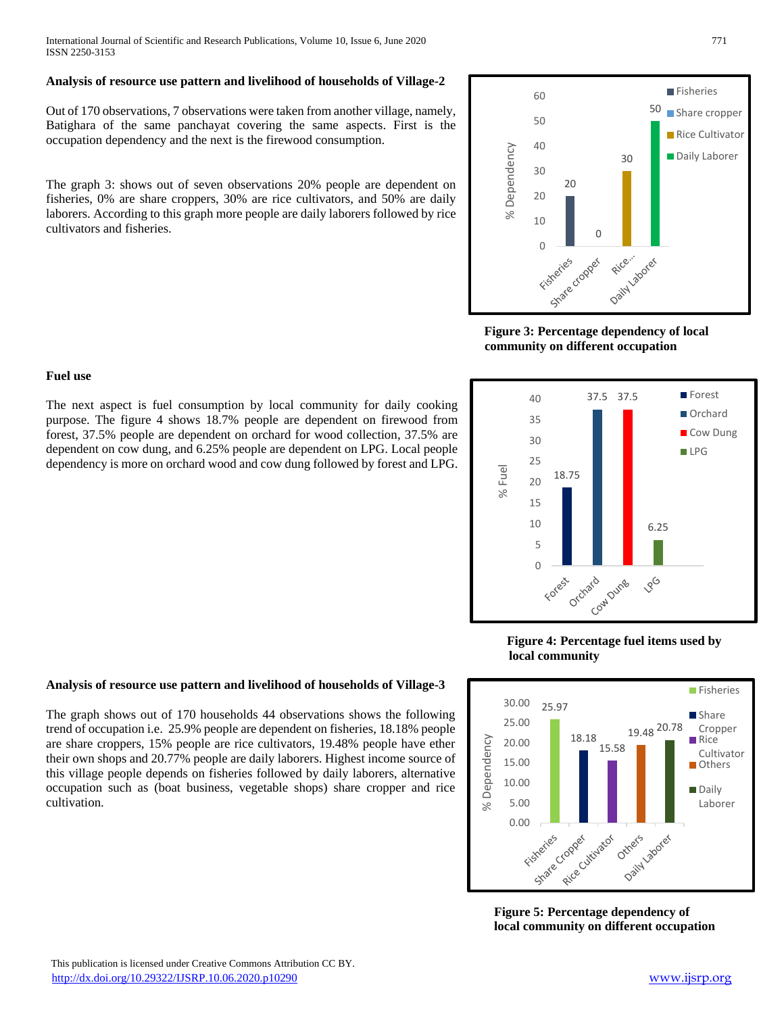International Journal of Scientific and Research Publications, Volume 10, Issue 6, June 2020 771 ISSN 2250-3153

#### **Analysis of resource use pattern and livelihood of households of Village-2**

Out of 170 observations, 7 observations were taken from another village, namely, Batighara of the same panchayat covering the same aspects. First is the occupation dependency and the next is the firewood consumption.

The graph 3: shows out of seven observations 20% people are dependent on fisheries, 0% are share croppers, 30% are rice cultivators, and 50% are daily laborers. According to this graph more people are daily laborers followed by rice cultivators and fisheries.

### **Fuel use**

The next aspect is fuel consumption by local community for daily cooking purpose. The figure 4 shows 18.7% people are dependent on firewood from forest, 37.5% people are dependent on orchard for wood collection, 37.5% are dependent on cow dung, and 6.25% people are dependent on LPG. Local people dependency is more on orchard wood and cow dung followed by forest and LPG.





# **Analysis of resource use pattern and livelihood of households of Village-3**

The graph shows out of 170 households 44 observations shows the following trend of occupation i.e. 25.9% people are dependent on fisheries, 18.18% people are share croppers, 15% people are rice cultivators, 19.48% people have ether their own shops and 20.77% people are daily laborers. Highest income source of this village people depends on fisheries followed by daily laborers, alternative occupation such as (boat business, vegetable shops) share cropper and rice cultivation.

#### orchard rard Dung 196 Forest

6.25



60

50

 **Figure 3: Percentage dependency of local community on different occupation**

37.5 37.5

18.75

% Fuel



 **Figure 5: Percentage dependency of local community on different occupation**

Fisheries

**Forest** Orchard Cow Dung  $\blacksquare$  I PG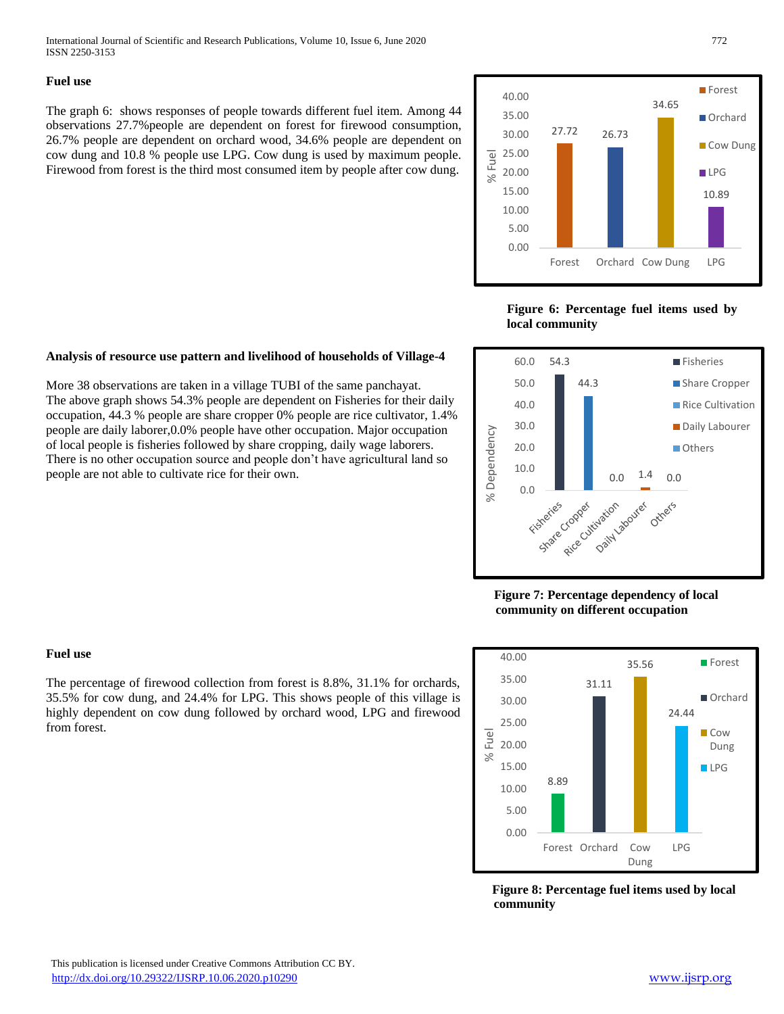International Journal of Scientific and Research Publications, Volume 10, Issue 6, June 2020 772 ISSN 2250-3153

#### **Fuel use**

The graph 6: shows responses of people towards different fuel item. Among 44 observations 27.7%people are dependent on forest for firewood consumption, 26.7% people are dependent on orchard wood, 34.6% people are dependent on cow dung and 10.8 % people use LPG. Cow dung is used by maximum people. Firewood from forest is the third most consumed item by people after cow dung.



**Figure 6: Percentage fuel items used by local community**



More 38 observations are taken in a village TUBI of the same panchayat. The above graph shows 54.3% people are dependent on Fisheries for their daily occupation, 44.3 % people are share cropper 0% people are rice cultivator, 1.4% people are daily laborer,0.0% people have other occupation. Major occupation of local people is fisheries followed by share cropping, daily wage laborers. There is no other occupation source and people don't have agricultural land so people are not able to cultivate rice for their own.



 **Figure 7: Percentage dependency of local community on different occupation**



 **Figure 8: Percentage fuel items used by local community**

# **Fuel use**

The percentage of firewood collection from forest is 8.8%, 31.1% for orchards, 35.5% for cow dung, and 24.4% for LPG. This shows people of this village is highly dependent on cow dung followed by orchard wood, LPG and firewood from forest.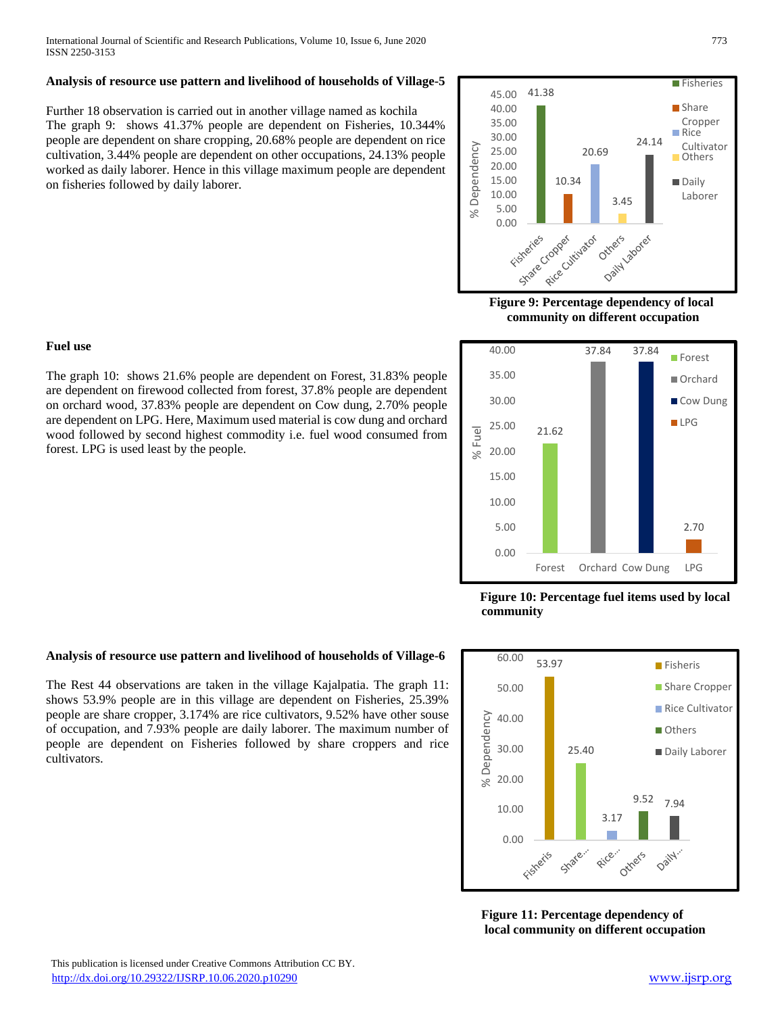# **Analysis of resource use pattern and livelihood of households of Village-5**

Further 18 observation is carried out in another village named as kochila The graph 9: shows 41.37% people are dependent on Fisheries, 10.344% people are dependent on share cropping, 20.68% people are dependent on rice cultivation, 3.44% people are dependent on other occupations, 24.13% people worked as daily laborer. Hence in this village maximum people are dependent on fisheries followed by daily laborer.



 **Figure 9: Percentage dependency of local community on different occupation**



 **Figure 10: Percentage fuel items used by local community**



 **Figure 11: Percentage dependency of local community on different occupation**

### **Fuel use**

The graph 10: shows 21.6% people are dependent on Forest, 31.83% people are dependent on firewood collected from forest, 37.8% people are dependent on orchard wood, 37.83% people are dependent on Cow dung, 2.70% people are dependent on LPG. Here, Maximum used material is cow dung and orchard wood followed by second highest commodity i.e. fuel wood consumed from forest. LPG is used least by the people.

#### **Analysis of resource use pattern and livelihood of households of Village-6**

The Rest 44 observations are taken in the village Kajalpatia. The graph 11: shows 53.9% people are in this village are dependent on Fisheries, 25.39% people are share cropper, 3.174% are rice cultivators, 9.52% have other souse of occupation, and 7.93% people are daily laborer. The maximum number of people are dependent on Fisheries followed by share croppers and rice cultivators.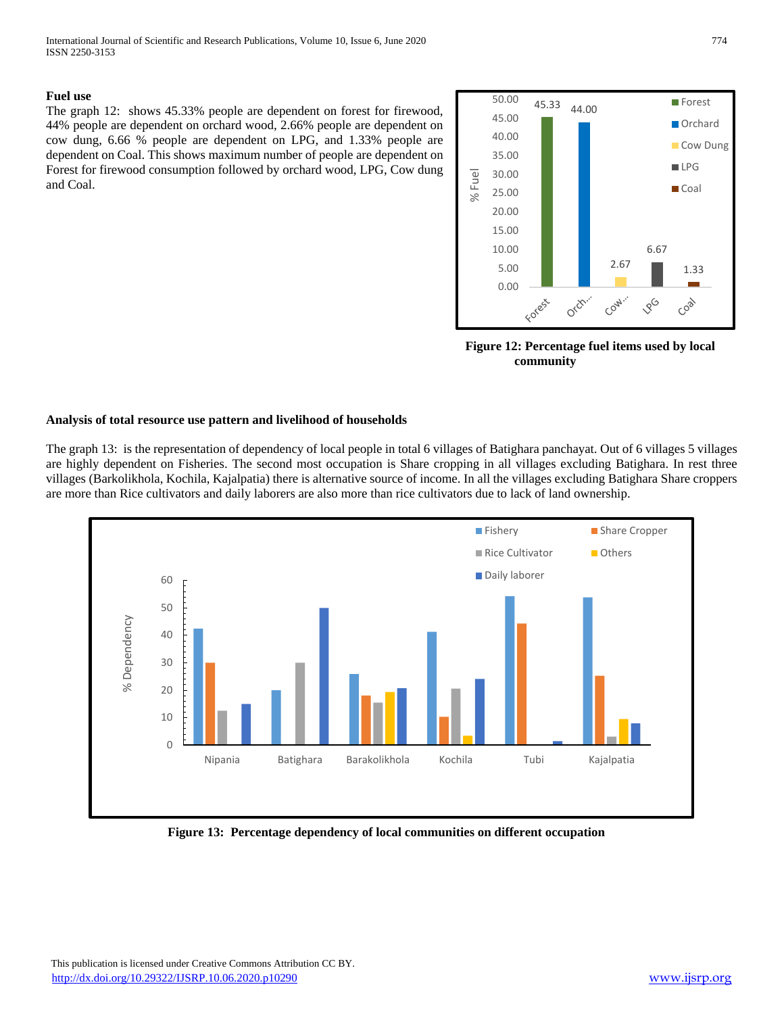#### **Fuel use**

The graph 12: shows 45.33% people are dependent on forest for firewood, 44% people are dependent on orchard wood, 2.66% people are dependent on cow dung, 6.66 % people are dependent on LPG, and 1.33% people are dependent on Coal. This shows maximum number of people are dependent on Forest for firewood consumption followed by orchard wood, LPG, Cow dung and Coal.



 **Figure 12: Percentage fuel items used by local community**

### **Analysis of total resource use pattern and livelihood of households**

The graph 13: is the representation of dependency of local people in total 6 villages of Batighara panchayat. Out of 6 villages 5 villages are highly dependent on Fisheries. The second most occupation is Share cropping in all villages excluding Batighara. In rest three villages (Barkolikhola, Kochila, Kajalpatia) there is alternative source of income. In all the villages excluding Batighara Share croppers are more than Rice cultivators and daily laborers are also more than rice cultivators due to lack of land ownership.



 **Figure 13: Percentage dependency of local communities on different occupation**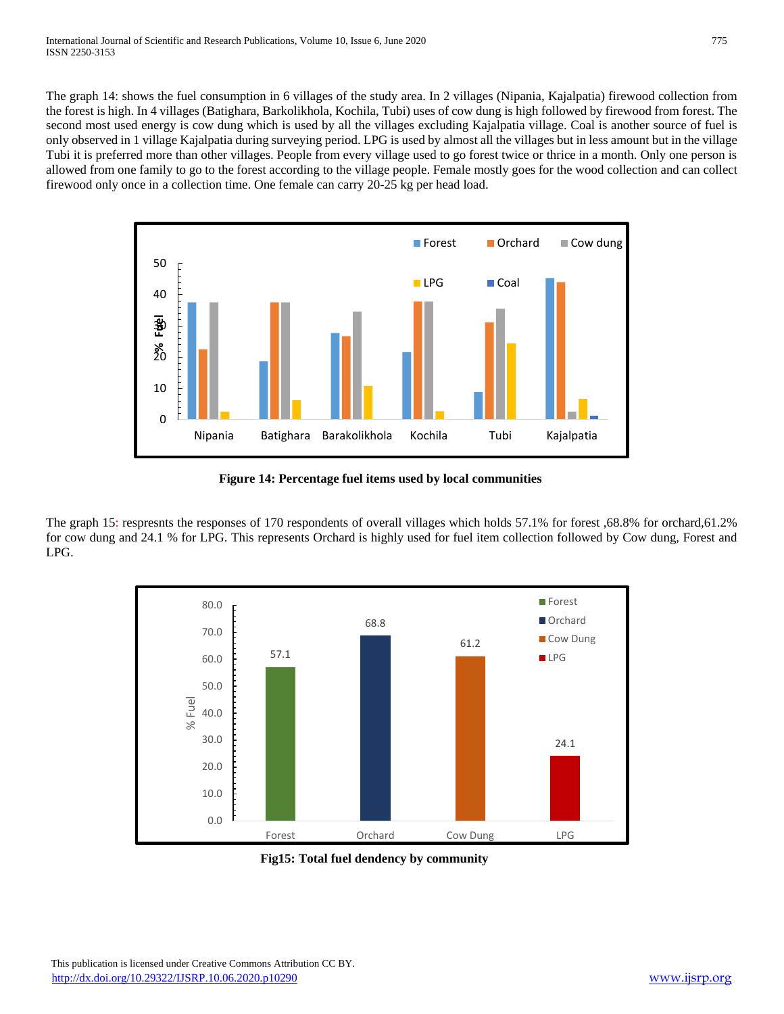The graph 14: shows the fuel consumption in 6 villages of the study area. In 2 villages (Nipania, Kajalpatia) firewood collection from the forest is high. In 4 villages (Batighara, Barkolikhola, Kochila, Tubi) uses of cow dung is high followed by firewood from forest. The second most used energy is cow dung which is used by all the villages excluding Kajalpatia village. Coal is another source of fuel is only observed in 1 village Kajalpatia during surveying period. LPG is used by almost all the villages but in less amount but in the village Tubi it is preferred more than other villages. People from every village used to go forest twice or thrice in a month. Only one person is allowed from one family to go to the forest according to the village people. Female mostly goes for the wood collection and can collect firewood only once in a collection time. One female can carry 20-25 kg per head load.



 **Figure 14: Percentage fuel items used by local communities** 

The graph 15: respresnts the responses of 170 respondents of overall villages which holds 57.1% for forest ,68.8% for orchard,61.2% for cow dung and 24.1 % for LPG. This represents Orchard is highly used for fuel item collection followed by Cow dung, Forest and LPG.



 **Fig15: Total fuel dendency by community**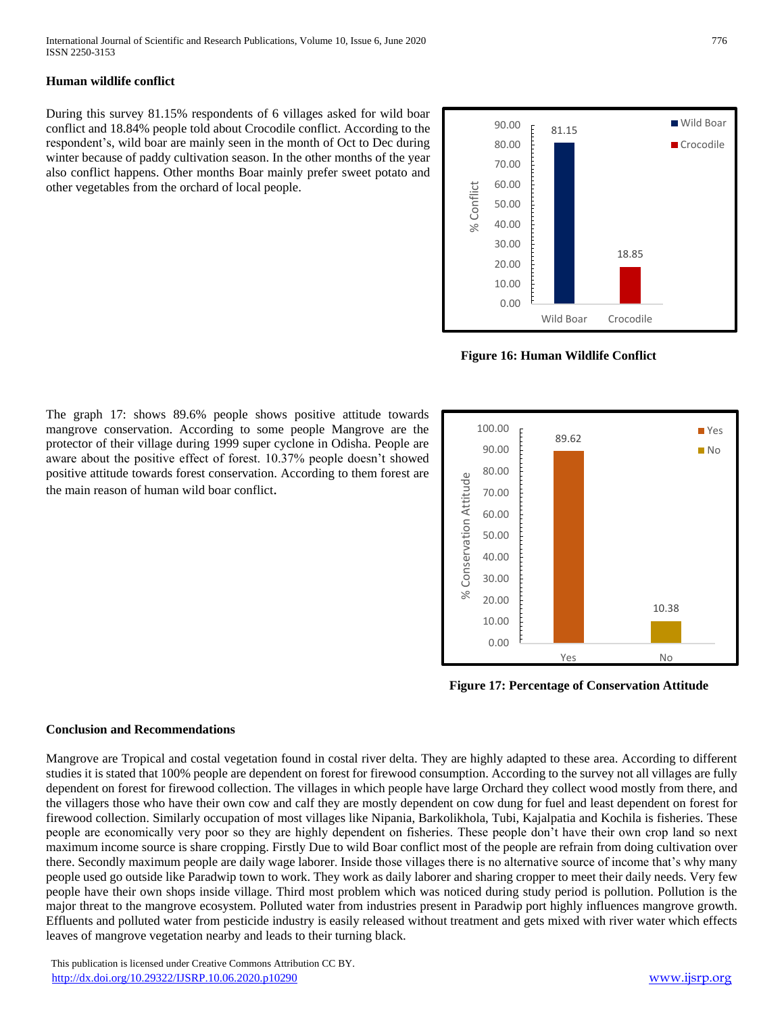# **Human wildlife conflict**

During this survey 81.15% respondents of 6 villages asked for wild boar conflict and 18.84% people told about Crocodile conflict. According to the respondent's, wild boar are mainly seen in the month of Oct to Dec during winter because of paddy cultivation season. In the other months of the year also conflict happens. Other months Boar mainly prefer sweet potato and other vegetables from the orchard of local people.



**Figure 16: Human Wildlife Conflict**



 **Figure 17: Percentage of Conservation Attitude**

The graph 17: shows 89.6% people shows positive attitude towards mangrove conservation. According to some people Mangrove are the protector of their village during 1999 super cyclone in Odisha. People are aware about the positive effect of forest. 10.37% people doesn't showed positive attitude towards forest conservation. According to them forest are the main reason of human wild boar conflict.

#### **Conclusion and Recommendations**

Mangrove are Tropical and costal vegetation found in costal river delta. They are highly adapted to these area. According to different studies it is stated that 100% people are dependent on forest for firewood consumption. According to the survey not all villages are fully dependent on forest for firewood collection. The villages in which people have large Orchard they collect wood mostly from there, and the villagers those who have their own cow and calf they are mostly dependent on cow dung for fuel and least dependent on forest for firewood collection. Similarly occupation of most villages like Nipania, Barkolikhola, Tubi, Kajalpatia and Kochila is fisheries. These people are economically very poor so they are highly dependent on fisheries. These people don't have their own crop land so next maximum income source is share cropping. Firstly Due to wild Boar conflict most of the people are refrain from doing cultivation over there. Secondly maximum people are daily wage laborer. Inside those villages there is no alternative source of income that's why many people used go outside like Paradwip town to work. They work as daily laborer and sharing cropper to meet their daily needs. Very few people have their own shops inside village. Third most problem which was noticed during study period is pollution. Pollution is the major threat to the mangrove ecosystem. Polluted water from industries present in Paradwip port highly influences mangrove growth. Effluents and polluted water from pesticide industry is easily released without treatment and gets mixed with river water which effects leaves of mangrove vegetation nearby and leads to their turning black.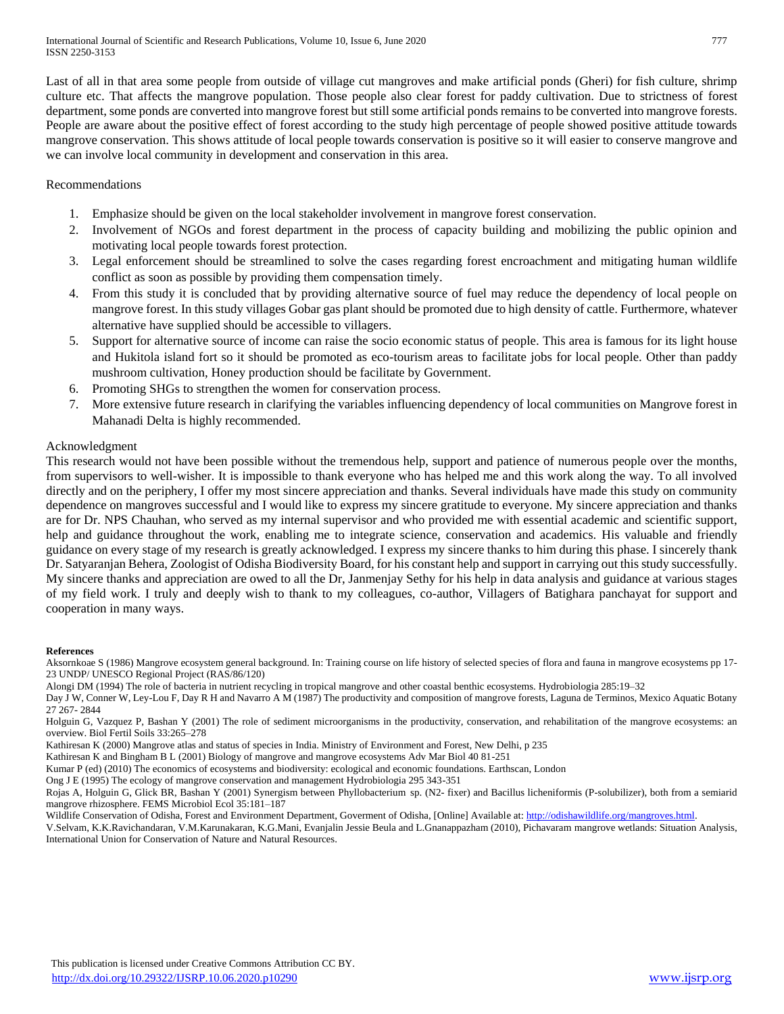Last of all in that area some people from outside of village cut mangroves and make artificial ponds (Gheri) for fish culture, shrimp culture etc. That affects the mangrove population. Those people also clear forest for paddy cultivation. Due to strictness of forest department, some ponds are converted into mangrove forest but still some artificial ponds remains to be converted into mangrove forests. People are aware about the positive effect of forest according to the study high percentage of people showed positive attitude towards mangrove conservation. This shows attitude of local people towards conservation is positive so it will easier to conserve mangrove and we can involve local community in development and conservation in this area.

#### Recommendations

- 1. Emphasize should be given on the local stakeholder involvement in mangrove forest conservation.
- 2. Involvement of NGOs and forest department in the process of capacity building and mobilizing the public opinion and motivating local people towards forest protection.
- 3. Legal enforcement should be streamlined to solve the cases regarding forest encroachment and mitigating human wildlife conflict as soon as possible by providing them compensation timely.
- 4. From this study it is concluded that by providing alternative source of fuel may reduce the dependency of local people on mangrove forest. In this study villages Gobar gas plant should be promoted due to high density of cattle. Furthermore, whatever alternative have supplied should be accessible to villagers.
- 5. Support for alternative source of income can raise the socio economic status of people. This area is famous for its light house and Hukitola island fort so it should be promoted as eco-tourism areas to facilitate jobs for local people. Other than paddy mushroom cultivation, Honey production should be facilitate by Government.
- 6. Promoting SHGs to strengthen the women for conservation process.
- 7. More extensive future research in clarifying the variables influencing dependency of local communities on Mangrove forest in Mahanadi Delta is highly recommended.

# Acknowledgment

This research would not have been possible without the tremendous help, support and patience of numerous people over the months, from supervisors to well-wisher. It is impossible to thank everyone who has helped me and this work along the way. To all involved directly and on the periphery, I offer my most sincere appreciation and thanks. Several individuals have made this study on community dependence on mangroves successful and I would like to express my sincere gratitude to everyone. My sincere appreciation and thanks are for Dr. NPS Chauhan, who served as my internal supervisor and who provided me with essential academic and scientific support, help and guidance throughout the work, enabling me to integrate science, conservation and academics. His valuable and friendly guidance on every stage of my research is greatly acknowledged. I express my sincere thanks to him during this phase. I sincerely thank Dr. Satyaranjan Behera, Zoologist of Odisha Biodiversity Board, for his constant help and support in carrying out this study successfully. My sincere thanks and appreciation are owed to all the Dr, Janmenjay Sethy for his help in data analysis and guidance at various stages of my field work. I truly and deeply wish to thank to my colleagues, co-author, Villagers of Batighara panchayat for support and cooperation in many ways.

#### **References**

Aksornkoae S (1986) Mangrove ecosystem general background. In: Training course on life history of selected species of flora and fauna in mangrove ecosystems pp 17- 23 UNDP/ UNESCO Regional Project (RAS/86/120)

Alongi DM (1994) The role of bacteria in nutrient recycling in tropical mangrove and other coastal benthic ecosystems. Hydrobiologia 285:19–32

Day J W, Conner W, Ley-Lou F, Day R H and Navarro A M (1987) The productivity and composition of mangrove forests, Laguna de Terminos, Mexico Aquatic Botany 27 267- 2844

Holguin G, Vazquez P, Bashan Y (2001) The role of sediment microorganisms in the productivity, conservation, and rehabilitation of the mangrove ecosystems: an overview. Biol Fertil Soils 33:265–278

Kathiresan K (2000) Mangrove atlas and status of species in India. Ministry of Environment and Forest, New Delhi, p 235

Kathiresan K and Bingham B L (2001) Biology of mangrove and mangrove ecosystems Adv Mar Biol 40 81-251

Kumar P (ed) (2010) The economics of ecosystems and biodiversity: ecological and economic foundations. Earthscan, London

Ong J E (1995) The ecology of mangrove conservation and management Hydrobiologia 295 343-351

Rojas A, Holguin G, Glick BR, Bashan Y (2001) Synergism between Phyllobacterium sp. (N2- fixer) and Bacillus licheniformis (P-solubilizer), both from a semiarid mangrove rhizosphere. FEMS Microbiol Ecol 35:181–187

Wildlife Conservation of Odisha, Forest and Environment Department, Goverment of Odisha, [Online] Available at[: http://odishawildlife.org/mangroves.html.](http://odishawildlife.org/mangroves.html)

V.Selvam, K.K.Ravichandaran, V.M.Karunakaran, K.G.Mani, Evanjalin Jessie Beula and L.Gnanappazham (2010), Pichavaram mangrove wetlands: Situation Analysis, International Union for Conservation of Nature and Natural Resources.